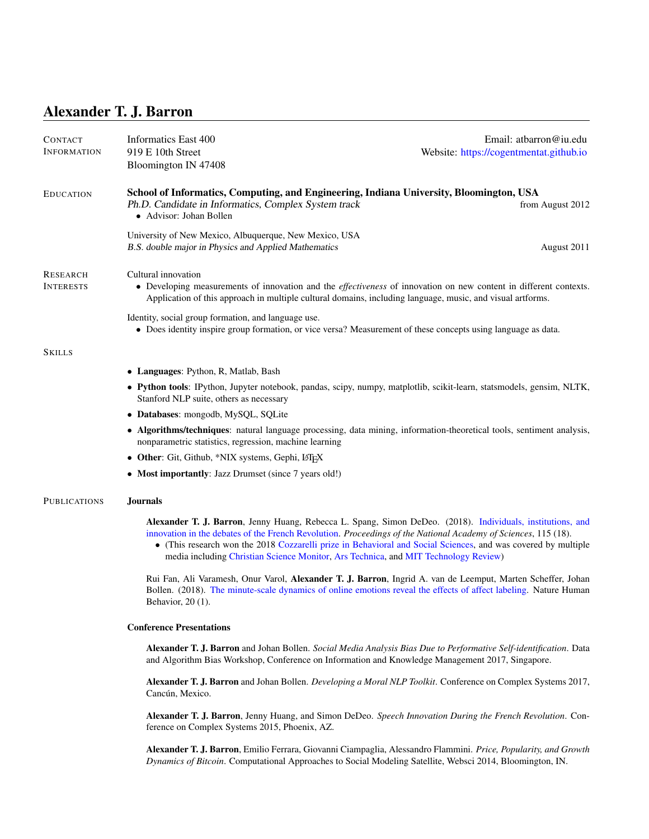# Alexander T. J. Barron

| <b>CONTACT</b><br><b>INFORMATION</b> | Informatics East 400<br>919 E 10th Street<br>Bloomington IN 47408                                                                                                                                                                                                                                                                                                                                                                    | Email: atbarron@iu.edu<br>Website: https://cogentmentat.github.io |
|--------------------------------------|--------------------------------------------------------------------------------------------------------------------------------------------------------------------------------------------------------------------------------------------------------------------------------------------------------------------------------------------------------------------------------------------------------------------------------------|-------------------------------------------------------------------|
| <b>EDUCATION</b>                     | School of Informatics, Computing, and Engineering, Indiana University, Bloomington, USA<br>Ph.D. Candidate in Informatics, Complex System track<br>• Advisor: Johan Bollen                                                                                                                                                                                                                                                           | from August 2012                                                  |
|                                      | University of New Mexico, Albuquerque, New Mexico, USA<br>B.S. double major in Physics and Applied Mathematics                                                                                                                                                                                                                                                                                                                       | August 2011                                                       |
| <b>RESEARCH</b><br><b>INTERESTS</b>  | Cultural innovation<br>• Developing measurements of innovation and the <i>effectiveness</i> of innovation on new content in different contexts.<br>Application of this approach in multiple cultural domains, including language, music, and visual artforms.                                                                                                                                                                        |                                                                   |
|                                      | Identity, social group formation, and language use.<br>• Does identity inspire group formation, or vice versa? Measurement of these concepts using language as data.                                                                                                                                                                                                                                                                 |                                                                   |
| <b>SKILLS</b>                        |                                                                                                                                                                                                                                                                                                                                                                                                                                      |                                                                   |
|                                      | • Languages: Python, R, Matlab, Bash                                                                                                                                                                                                                                                                                                                                                                                                 |                                                                   |
|                                      | • Python tools: IPython, Jupyter notebook, pandas, scipy, numpy, matplotlib, scikit-learn, statsmodels, gensim, NLTK,<br>Stanford NLP suite, others as necessary                                                                                                                                                                                                                                                                     |                                                                   |
|                                      | • Databases: mongodb, MySQL, SQLite                                                                                                                                                                                                                                                                                                                                                                                                  |                                                                   |
|                                      | • Algorithms/techniques: natural language processing, data mining, information-theoretical tools, sentiment analysis,<br>nonparametric statistics, regression, machine learning                                                                                                                                                                                                                                                      |                                                                   |
|                                      | • Other: Git, Github, *NIX systems, Gephi, L <sup>9</sup> T <sub>F</sub> X                                                                                                                                                                                                                                                                                                                                                           |                                                                   |
|                                      | • Most importantly: Jazz Drumset (since 7 years old!)                                                                                                                                                                                                                                                                                                                                                                                |                                                                   |
| <b>PUBLICATIONS</b>                  | <b>Journals</b>                                                                                                                                                                                                                                                                                                                                                                                                                      |                                                                   |
|                                      | Alexander T. J. Barron, Jenny Huang, Rebecca L. Spang, Simon DeDeo. (2018). Individuals, institutions, and<br>innovation in the debates of the French Revolution. Proceedings of the National Academy of Sciences, 115 (18).<br>• (This research won the 2018 Cozzarelli prize in Behavioral and Social Sciences, and was covered by multiple<br>media including Christian Science Monitor, Ars Technica, and MIT Technology Review) |                                                                   |
|                                      | Rui Fan, Ali Varamesh, Onur Varol, Alexander T. J. Barron, Ingrid A. van de Leemput, Marten Scheffer, Johan<br>Bollen. (2018). The minute-scale dynamics of online emotions reveal the effects of affect labeling. Nature Human<br>Behavior, 20 (1).                                                                                                                                                                                 |                                                                   |
|                                      | <b>Conference Presentations</b>                                                                                                                                                                                                                                                                                                                                                                                                      |                                                                   |
|                                      | Alexander T. J. Barron and Johan Bollen. Social Media Analysis Bias Due to Performative Self-identification. Data<br>and Algorithm Bias Workshop, Conference on Information and Knowledge Management 2017, Singapore.                                                                                                                                                                                                                |                                                                   |
|                                      | Alexander T. J. Barron and Johan Bollen. Developing a Moral NLP Toolkit. Conference on Complex Systems 2017,<br>Cancún, Mexico.                                                                                                                                                                                                                                                                                                      |                                                                   |
|                                      | Alexander T. J. Barron, Jenny Huang, and Simon DeDeo. Speech Innovation During the French Revolution. Con-<br>ference on Complex Systems 2015, Phoenix, AZ.                                                                                                                                                                                                                                                                          |                                                                   |
|                                      | Alexander T. J. Barron, Emilio Ferrara, Giovanni Ciampaglia, Alessandro Flammini. Price, Popularity, and Growth<br>Dynamics of Bitcoin. Computational Approaches to Social Modeling Satellite, Websci 2014, Bloomington, IN.                                                                                                                                                                                                         |                                                                   |